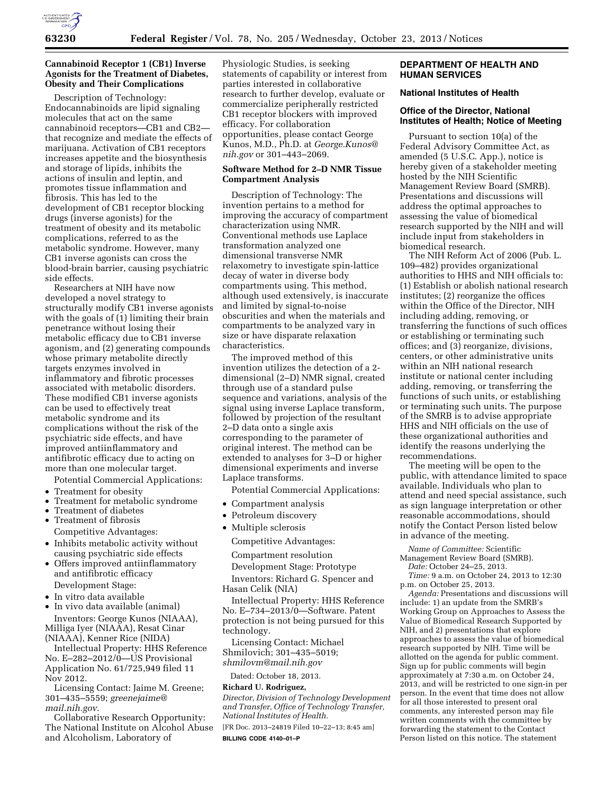

# **Cannabinoid Receptor 1 (CB1) Inverse Agonists for the Treatment of Diabetes, Obesity and Their Complications**

Description of Technology: Endocannabinoids are lipid signaling molecules that act on the same cannabinoid receptors—CB1 and CB2 that recognize and mediate the effects of marijuana. Activation of CB1 receptors increases appetite and the biosynthesis and storage of lipids, inhibits the actions of insulin and leptin, and promotes tissue inflammation and fibrosis. This has led to the development of CB1 receptor blocking drugs (inverse agonists) for the treatment of obesity and its metabolic complications, referred to as the metabolic syndrome. However, many CB1 inverse agonists can cross the blood-brain barrier, causing psychiatric side effects.

Researchers at NIH have now developed a novel strategy to structurally modify CB1 inverse agonists with the goals of (1) limiting their brain penetrance without losing their metabolic efficacy due to CB1 inverse agonism, and (2) generating compounds whose primary metabolite directly targets enzymes involved in inflammatory and fibrotic processes associated with metabolic disorders. These modified CB1 inverse agonists can be used to effectively treat metabolic syndrome and its complications without the risk of the psychiatric side effects, and have improved antiinflammatory and antifibrotic efficacy due to acting on more than one molecular target.

Potential Commercial Applications:

- Treatment for obesity
- Treatment for metabolic syndrome
- Treatment of diabetes
- Treatment of fibrosis

Competitive Advantages:

- Inhibits metabolic activity without causing psychiatric side effects
- Offers improved antiinflammatory and antifibrotic efficacy Development Stage:
- In vitro data available
- In vivo data available (animal)
- Inventors: George Kunos (NIAAA), Milliga Iyer (NIAAA), Resat Cinar (NIAAA), Kenner Rice (NIDA)

Intellectual Property: HHS Reference No. E–282–2012/0—US Provisional Application No. 61/725,949 filed 11 Nov 2012.

Licensing Contact: Jaime M. Greene; 301–435–5559; *[greenejaime@](mailto:greenejaime@mail.nih.gov) [mail.nih.gov](mailto:greenejaime@mail.nih.gov)*.

Collaborative Research Opportunity: The National Institute on Alcohol Abuse and Alcoholism, Laboratory of

Physiologic Studies, is seeking statements of capability or interest from parties interested in collaborative research to further develop, evaluate or commercialize peripherally restricted CB1 receptor blockers with improved efficacy. For collaboration opportunities, please contact George Kunos, M.D., Ph.D. at *[George.Kunos@](mailto:George.Kunos@nih.gov) [nih.gov](mailto:George.Kunos@nih.gov)* or 301–443–2069.

# **Software Method for 2–D NMR Tissue Compartment Analysis**

Description of Technology: The invention pertains to a method for improving the accuracy of compartment characterization using NMR. Conventional methods use Laplace transformation analyzed one dimensional transverse NMR relaxometry to investigate spin-lattice decay of water in diverse body compartments using. This method, although used extensively, is inaccurate and limited by signal-to-noise obscurities and when the materials and compartments to be analyzed vary in size or have disparate relaxation characteristics.

The improved method of this invention utilizes the detection of a 2 dimensional (2–D) NMR signal, created through use of a standard pulse sequence and variations, analysis of the signal using inverse Laplace transform, followed by projection of the resultant 2–D data onto a single axis corresponding to the parameter of original interest. The method can be extended to analyses for 3–D or higher dimensional experiments and inverse Laplace transforms.

Potential Commercial Applications:

- Compartment analysis
- Petroleum discovery
- Multiple sclerosis

Competitive Advantages:

Compartment resolution

Development Stage: Prototype

Inventors: Richard G. Spencer and Hasan Celik (NIA)

Intellectual Property: HHS Reference No. E–734–2013/0—Software. Patent protection is not being pursued for this technology.

Licensing Contact: Michael Shmilovich; 301–435–5019; *[shmilovm@mail.nih.gov](mailto:shmilovm@mail.nih.gov)* 

Dated: October 18, 2013.

# **Richard U. Rodriguez,**

*Director, Division of Technology Development and Transfer, Office of Technology Transfer, National Institutes of Health.* 

[FR Doc. 2013–24819 Filed 10–22–13; 8:45 am] **BILLING CODE 4140–01–P** 

# **DEPARTMENT OF HEALTH AND HUMAN SERVICES**

# **National Institutes of Health**

# **Office of the Director, National Institutes of Health; Notice of Meeting**

Pursuant to section 10(a) of the Federal Advisory Committee Act, as amended (5 U.S.C. App.), notice is hereby given of a stakeholder meeting hosted by the NIH Scientific Management Review Board (SMRB). Presentations and discussions will address the optimal approaches to assessing the value of biomedical research supported by the NIH and will include input from stakeholders in biomedical research.

The NIH Reform Act of 2006 (Pub. L. 109–482) provides organizational authorities to HHS and NIH officials to: (1) Establish or abolish national research institutes; (2) reorganize the offices within the Office of the Director, NIH including adding, removing, or transferring the functions of such offices or establishing or terminating such offices; and (3) reorganize, divisions, centers, or other administrative units within an NIH national research institute or national center including adding, removing, or transferring the functions of such units, or establishing or terminating such units. The purpose of the SMRB is to advise appropriate HHS and NIH officials on the use of these organizational authorities and identify the reasons underlying the recommendations.

The meeting will be open to the public, with attendance limited to space available. Individuals who plan to attend and need special assistance, such as sign language interpretation or other reasonable accommodations, should notify the Contact Person listed below in advance of the meeting.

*Name of Committee:* Scientific Management Review Board (SMRB).

*Date:* October 24–25, 2013.

*Time:* 9 a.m. on October 24, 2013 to 12:30 p.m. on October 25, 2013.

*Agenda:* Presentations and discussions will include: 1) an update from the SMRB's Working Group on Approaches to Assess the Value of Biomedical Research Supported by NIH, and 2) presentations that explore approaches to assess the value of biomedical research supported by NIH. Time will be allotted on the agenda for public comment. Sign up for public comments will begin approximately at 7:30 a.m. on October 24, 2013, and will be restricted to one sign-in per person. In the event that time does not allow for all those interested to present oral comments, any interested person may file written comments with the committee by forwarding the statement to the Contact Person listed on this notice. The statement